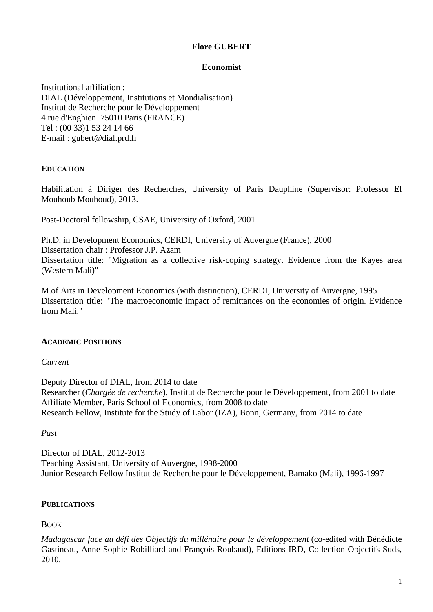# **Flore GUBERT**

# **Economist**

Institutional affiliation : DIAL (Développement, Institutions et Mondialisation) Institut de Recherche pour le Développement 4 rue d'Enghien 75010 Paris (FRANCE) Tel : (00 33)1 53 24 14 66 E-mail : gubert@dial.prd.fr

# **EDUCATION**

Habilitation à Diriger des Recherches, University of Paris Dauphine (Supervisor: Professor El Mouhoub Mouhoud), 2013.

Post-Doctoral fellowship, CSAE, University of Oxford, 2001

Ph.D. in Development Economics, CERDI, University of Auvergne (France), 2000 Dissertation chair : Professor J.P. Azam Dissertation title: "Migration as a collective risk-coping strategy. Evidence from the Kayes area (Western Mali)"

M.of Arts in Development Economics (with distinction), CERDI, University of Auvergne, 1995 Dissertation title: "The macroeconomic impact of remittances on the economies of origin. Evidence from Mali."

# **ACADEMIC POSITIONS**

# *Current*

Deputy Director of DIAL, from 2014 to date Researcher (*Chargée de recherche*), Institut de Recherche pour le Développement, from 2001 to date Affiliate Member, Paris School of Economics, from 2008 to date Research Fellow, Institute for the Study of Labor (IZA), Bonn, Germany, from 2014 to date

# *Past*

Director of DIAL, 2012-2013 Teaching Assistant, University of Auvergne, 1998-2000 Junior Research Fellow Institut de Recherche pour le Développement, Bamako (Mali), 1996-1997

# **PUBLICATIONS**

BOOK

*Madagascar face au défi des Objectifs du millénaire pour le développement* (co-edited with Bénédicte Gastineau, Anne-Sophie Robilliard and François Roubaud), Editions IRD, Collection Objectifs Suds, 2010.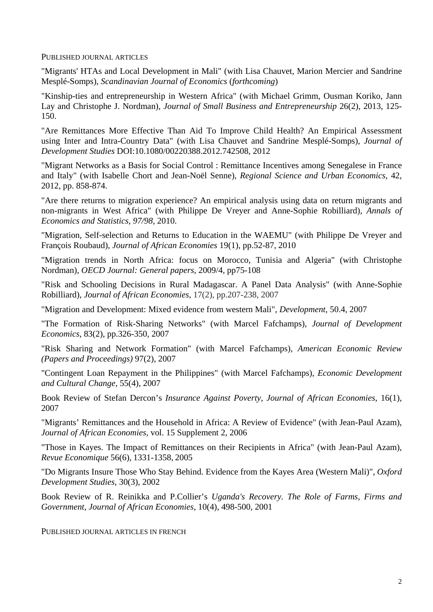PUBLISHED JOURNAL ARTICLES

"Migrants' HTAs and Local Development in Mali" (with Lisa Chauvet, Marion Mercier and Sandrine Mesplé-Somps), *Scandinavian Journal of Economics* (*forthcoming*)

"Kinship-ties and entrepreneurship in Western Africa" (with Michael Grimm, Ousman Koriko, Jann Lay and Christophe J. Nordman), *Journal of Small Business and Entrepreneurship* 26(2), 2013, 125- 150.

"Are Remittances More Effective Than Aid To Improve Child Health? An Empirical Assessment using Inter and Intra-Country Data" (with Lisa Chauvet and Sandrine Mesplé-Somps), *Journal of Development Studies* DOI:10.1080/00220388.2012.742508, 2012

"Migrant Networks as a Basis for Social Control : Remittance Incentives among Senegalese in France and Italy" (with Isabelle Chort and Jean-Noël Senne), *Regional Science and Urban Economics*, 42, 2012, pp. 858-874.

"Are there returns to migration experience? An empirical analysis using data on return migrants and non-migrants in West Africa" (with Philippe De Vreyer and Anne-Sophie Robilliard), *Annals of Economics and Statistics, 97/98,* 2010.

"Migration, Self-selection and Returns to Education in the WAEMU" (with Philippe De Vreyer and François Roubaud), *Journal of African Economies* 19(1), pp.52-87, 2010

"Migration trends in North Africa: focus on Morocco, Tunisia and Algeria" (with Christophe Nordman), *OECD Journal: General papers*, 2009/4, pp75-108

"Risk and Schooling Decisions in Rural Madagascar. A Panel Data Analysis" (with Anne-Sophie Robilliard), *Journal of African Economies*, 17(2), pp.207-238, 2007

"Migration and Development: Mixed evidence from western Mali", *Development*, 50.4, 2007

"The Formation of Risk-Sharing Networks" (with Marcel Fafchamps), *Journal of Development Economics*, 83(2), pp.326-350, 2007

"Risk Sharing and Network Formation" (with Marcel Fafchamps), *American Economic Review (Papers and Proceedings)* 97(2), 2007

"Contingent Loan Repayment in the Philippines" (with Marcel Fafchamps), *Economic Development and Cultural Change*, 55(4), 2007

Book Review of Stefan Dercon's *Insurance Against Poverty, Journal of African Economies*, 16(1), 2007

"Migrants' Remittances and the Household in Africa: A Review of Evidence" (with Jean-Paul Azam), *Journal of African Economies,* vol. 15 Supplement 2, 2006

"Those in Kayes. The Impact of Remittances on their Recipients in Africa" (with Jean-Paul Azam), *Revue Economique* 56(6), 1331-1358, 2005

"Do Migrants Insure Those Who Stay Behind. Evidence from the Kayes Area (Western Mali)", *Oxford Development Studies*, 30(3), 2002

Book Review of R. Reinikka and P.Collier's *Uganda's Recovery. The Role of Farms, Firms and Government*, *Journal of African Economies*, 10(4), 498-500, 2001

PUBLISHED JOURNAL ARTICLES IN FRENCH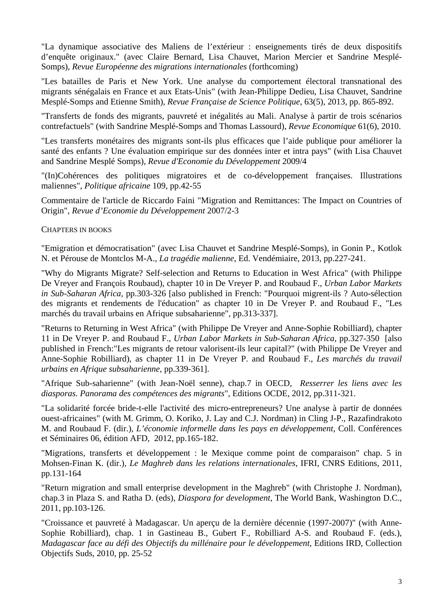"La dynamique associative des Maliens de l'extérieur : enseignements tirés de deux dispositifs d'enquête originaux." (avec Claire Bernard, Lisa Chauvet, Marion Mercier et Sandrine Mesplé-Somps), *Revue Européenne des migrations internationales* (forthcoming)

"Les batailles de Paris et New York. Une analyse du comportement électoral transnational des migrants sénégalais en France et aux Etats-Unis" (with Jean-Philippe Dedieu, Lisa Chauvet, Sandrine Mesplé-Somps and Etienne Smith), *Revue Française de Science Politique*, 63(5), 2013, pp. 865-892.

"Transferts de fonds des migrants, pauvreté et inégalités au Mali. Analyse à partir de trois scénarios contrefactuels" (with Sandrine Mesplé-Somps and Thomas Lassourd), *Revue Economique* 61(6), 2010.

"Les transferts monétaires des migrants sont-ils plus efficaces que l'aide publique pour améliorer la santé des enfants ? Une évaluation empirique sur des données inter et intra pays" (with Lisa Chauvet and Sandrine Mesplé Somps), *Revue d'Economie du Développement* 2009/4

"(In)Cohérences des politiques migratoires et de co-développement françaises. Illustrations maliennes", *Politique africaine* 109, pp.42-55

Commentaire de l'article de Riccardo Faini "Migration and Remittances: The Impact on Countries of Origin", *Revue d'Economie du Développement* 2007/2-3

CHAPTERS IN BOOKS

"Emigration et démocratisation" (avec Lisa Chauvet et Sandrine Mesplé-Somps), in Gonin P., Kotlok N. et Pérouse de Montclos M-A., *La tragédie malienne*, Ed. Vendémiaire, 2013, pp.227-241.

"Why do Migrants Migrate? Self-selection and Returns to Education in West Africa" (with Philippe De Vreyer and François Roubaud), chapter 10 in De Vreyer P. and Roubaud F., *Urban Labor Markets in Sub-Saharan Africa,* pp.303-326 [also published in French: "Pourquoi migrent-ils ? Auto-sélection des migrants et rendements de l'éducation" as chapter 10 in De Vreyer P. and Roubaud F., "Les marchés du travail urbains en Afrique subsaharienne", pp.313-337].

"Returns to Returning in West Africa" (with Philippe De Vreyer and Anne-Sophie Robilliard), chapter 11 in De Vreyer P. and Roubaud F., *Urban Labor Markets in Sub-Saharan Africa,* pp.327-350 [also published in French:"Les migrants de retour valorisent-ils leur capital?" (with Philippe De Vreyer and Anne-Sophie Robilliard), as chapter 11 in De Vreyer P. and Roubaud F., *Les marchés du travail urbains en Afrique subsaharienne*, pp.339-361].

"Afrique Sub-saharienne" (with Jean-Noël senne), chap.7 in OECD, *Resserrer les liens avec les diasporas. Panorama des compétences des migrants*", Editions OCDE, 2012, pp.311-321.

"La solidarité forcée bride-t-elle l'activité des micro-entrepreneurs? Une analyse à partir de données ouest-africaines" (with M. Grimm, O. Koriko, J. Lay and C.J. Nordman) in Cling J-P., Razafindrakoto M. and Roubaud F. (dir.), *L'économie informelle dans les pays en développement*, Coll. Conférences et Séminaires 06, édition AFD, 2012, pp.165-182.

"Migrations, transferts et développement : le Mexique comme point de comparaison" chap. 5 in Mohsen-Finan K. (dir.), *Le Maghreb dans les relations internationales*, IFRI, CNRS Editions, 2011, pp.131-164

"Return migration and small enterprise development in the Maghreb" (with Christophe J. Nordman), chap.3 in Plaza S. and Ratha D. (eds), *Diaspora for development*, The World Bank, Washington D.C., 2011, pp.103-126.

"Croissance et pauvreté à Madagascar. Un aperçu de la dernière décennie (1997-2007)" (with Anne-Sophie Robilliard), chap. 1 in Gastineau B., Gubert F., Robilliard A-S. and Roubaud F. (eds.), *Madagascar face au défi des Objectifs du millénaire pour le développement*, Editions IRD, Collection Objectifs Suds, 2010, pp. 25-52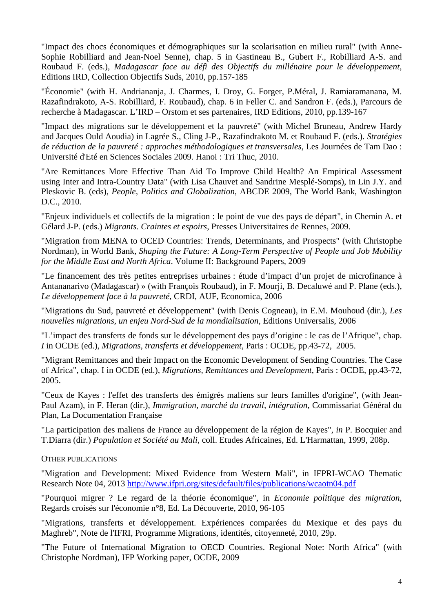"Impact des chocs économiques et démographiques sur la scolarisation en milieu rural" (with Anne-Sophie Robilliard and Jean-Noel Senne), chap. 5 in Gastineau B., Gubert F., Robilliard A-S. and Roubaud F. (eds.), *Madagascar face au défi des Objectifs du millénaire pour le développement*, Editions IRD, Collection Objectifs Suds, 2010, pp.157-185

"Économie" (with H. Andriananja, J. Charmes, I. Droy, G. Forger, P.Méral, J. Ramiaramanana, M. Razafindrakoto, A-S. Robilliard, F. Roubaud), chap. 6 in Feller C. and Sandron F. (eds.), Parcours de recherche à Madagascar. L'IRD – Orstom et ses partenaires, IRD Editions, 2010, pp.139-167

"Impact des migrations sur le développement et la pauvreté" (with Michel Bruneau, Andrew Hardy and Jacques Ould Aoudia) in Lagrée S., Cling J-P., Razafindrakoto M. et Roubaud F. (eds.). *Stratégies de réduction de la pauvreté : approches méthodologiques et transversales*, Les Journées de Tam Dao : Université d'Eté en Sciences Sociales 2009. Hanoi : Tri Thuc, 2010.

"Are Remittances More Effective Than Aid To Improve Child Health? An Empirical Assessment using Inter and Intra-Country Data" (with Lisa Chauvet and Sandrine Mesplé-Somps), in Lin J.Y. and Pleskovic B. (eds), *People, Politics and Globalization*, ABCDE 2009, The World Bank, Washington D.C., 2010.

"Enjeux individuels et collectifs de la migration : le point de vue des pays de départ", in Chemin A. et Gélard J-P. (eds.) *Migrants. Craintes et espoirs*, Presses Universitaires de Rennes, 2009.

"Migration from MENA to OCED Countries: Trends, Determinants, and Prospects" (with Christophe Nordman), in World Bank, *Shaping the Future: A Long-Term Perspective of People and Job Mobility for the Middle East and North Africa*. Volume II: Background Papers, 2009

"Le financement des très petites entreprises urbaines : étude d'impact d'un projet de microfinance à Antananarivo (Madagascar) » (with François Roubaud), in F. Mourji, B. Decaluwé and P. Plane (eds.), *Le développement face à la pauvreté*, CRDI, AUF, Economica, 2006

"Migrations du Sud, pauvreté et développement" (with Denis Cogneau), in E.M. Mouhoud (dir.), *Les nouvelles migrations, un enjeu Nord-Sud de la mondialisation,* Editions Universalis, 2006

"L'impact des transferts de fonds sur le développement des pays d'origine : le cas de l'Afrique", chap. *I* in OCDE (ed.), *Migrations, transferts et développement*, Paris : OCDE, pp.43-72, 2005.

"Migrant Remittances and their Impact on the Economic Development of Sending Countries. The Case of Africa", chap. I in OCDE (ed.), *Migrations, Remittances and Development*, Paris : OCDE, pp.43-72, 2005.

"Ceux de Kayes : l'effet des transferts des émigrés maliens sur leurs familles d'origine", (with Jean-Paul Azam), in F. Heran (dir.), *Immigration, marché du travail, intégration*, Commissariat Général du Plan, La Documentation Française

"La participation des maliens de France au développement de la région de Kayes", *in* P. Bocquier and T.Diarra (dir.) *Population et Société au Mali*, coll. Etudes Africaines, Ed. L'Harmattan, 1999, 208p.

# OTHER PUBLICATIONS

"Migration and Development: Mixed Evidence from Western Mali", in IFPRI-WCAO Thematic Research Note 04, 2013 http://www.ifpri.org/sites/default/files/publications/wcaotn04.pdf

"Pourquoi migrer ? Le regard de la théorie économique", in *Economie politique des migration*, Regards croisés sur l'économie n°8, Ed. La Découverte, 2010, 96-105

"Migrations, transferts et développement. Expériences comparées du Mexique et des pays du Maghreb", Note de l'IFRI, Programme Migrations, identités, citoyenneté, 2010, 29p.

"The Future of International Migration to OECD Countries. Regional Note: North Africa" (with Christophe Nordman), IFP Working paper, OCDE, 2009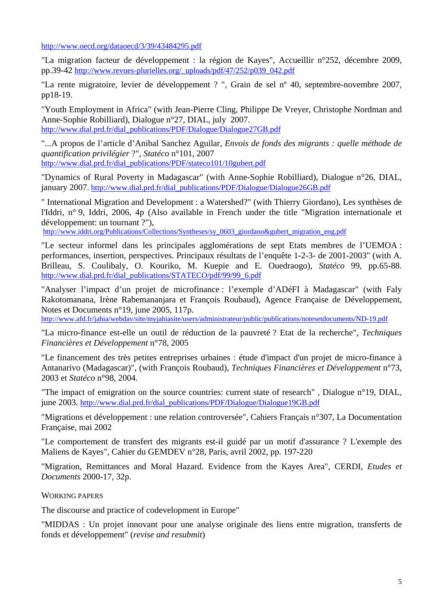http://www.oecd.org/dataoecd/3/39/43484295.pdf

"La migration facteur de développement : la région de Kayes", Accueillir n°252, décembre 2009, pp.39-42 http://www.revues-plurielles.org/\_uploads/pdf/47/252/p039\_042.pdf

"La rente migratoire, levier de développement ? ", Grain de sel nº 40, septembre-novembre 2007, pp18-19.

"Youth Employment in Africa" (with Jean-Pierre Cling, Philippe De Vreyer, Christophe Nordman and Anne-Sophie Robilliard), Dialogue n°27, DIAL, july 2007. http://www.dial.prd.fr/dial\_publications/PDF/Dialogue/Dialogue27GB.pdf

"...A propos de l'article d'Anibal Sanchez Aguilar, *Envois de fonds des migrants : quelle méthode de quantification privilégier* ?", *Statéco* n°101, 2007 http://www.dial.prd.fr/dial\_publications/PDF/stateco101/10gubert.pdf

"Dynamics of Rural Poverty in Madagascar" (with Anne-Sophie Robilliard), Dialogue n°26, DIAL, january 2007. http://www.dial.prd.fr/dial\_publications/PDF/Dialogue/Dialogue26GB.pdf

" International Migration and Development : a Watershed?" (with Thierry Giordano), Les synthèses de l'Iddri, n° 9, Iddri, 2006, 4p (Also available in French under the title "Migration internationale et développement: un tournant ?"),

http://www.iddri.org/Publications/Collections/Syntheses/sy\_0603\_giordano&gubert\_migration\_eng.pdf

"Le secteur informel dans les principales agglomérations de sept Etats membres de l'UEMOA : performances, insertion, perspectives. Principaux résultats de l'enquête 1-2-3- de 2001-2003" (with A. Brilleau, S. Coulibaly, O. Kouriko, M. Kuepie and E. Ouedraogo), *Statéco* 99, pp.65-88. http://www.dial.prd.fr/dial\_publications/STATECO/pdf/99/99\_6.pdf

"Analyser l'impact d'un projet de microfinance : l'exemple d'ADéFI à Madagascar" (with Faly Rakotomanana, Irène Rabemananjara et François Roubaud), Agence Française de Développement, Notes et Documents n°19, june 2005, 117p.

http://www.afd.fr/jahia/webdav/site/myjahiasite/users/administrateur/public/publications/notesetdocuments/ND-19.pdf

"La micro-finance est-elle un outil de réduction de la pauvreté ? Etat de la recherche", *Techniques Financières et Développement* n°78, 2005

"Le financement des très petites entreprises urbaines : étude d'impact d'un projet de micro-finance à Antanarivo (Madagascar)", (with François Roubaud), *Techniques Financières et Développement* n°73, 2003 et *Statéco* n°98, 2004.

"The impact of emigration on the source countries: current state of research" , Dialogue n°19, DIAL, june 2003. http://www.dial.prd.fr/dial\_publications/PDF/Dialogue/Dialogue19GB.pdf

"Migrations et développement : une relation controversée", Cahiers Français n°307, La Documentation Française, mai 2002

"Le comportement de transfert des migrants est-il guidé par un motif d'assurance ? L'exemple des Maliens de Kayes", Cahier du GEMDEV n°28, Paris, avril 2002, pp. 197-220

"Migration, Remittances and Moral Hazard. Evidence from the Kayes Area", CERDI, *Etudes et Documents* 2000-17, 32p.

WORKING PAPERS

The discourse and practice of codevelopment in Europe"

"MIDDAS : Un projet innovant pour une analyse originale des liens entre migration, transferts de fonds et développement" (*revise and resubmit*)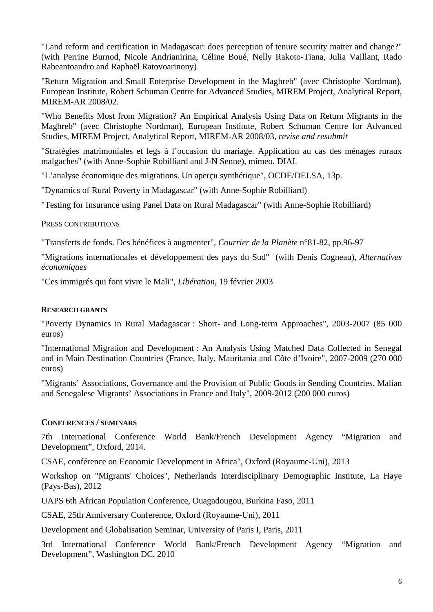"Land reform and certification in Madagascar: does perception of tenure security matter and change?" (with Perrine Burnod, Nicole Andrianirina, Céline Boué, Nelly Rakoto-Tiana, Julia Vaillant, Rado Rabeantoandro and Raphaël Ratovoarinony)

"Return Migration and Small Enterprise Development in the Maghreb" (avec Christophe Nordman), European Institute, Robert Schuman Centre for Advanced Studies, MIREM Project, Analytical Report, MIREM-AR 2008/02.

"Who Benefits Most from Migration? An Empirical Analysis Using Data on Return Migrants in the Maghreb" (avec Christophe Nordman), European Institute, Robert Schuman Centre for Advanced Studies, MIREM Project, Analytical Report, MIREM-AR 2008/03, *revise and resubmit*

"Stratégies matrimoniales et legs à l'occasion du mariage. Application au cas des ménages ruraux malgaches" (with Anne-Sophie Robilliard and J-N Senne), mimeo. DIAL

"L'analyse économique des migrations. Un aperçu synthétique", OCDE/DELSA, 13p.

"Dynamics of Rural Poverty in Madagascar" (with Anne-Sophie Robilliard)

"Testing for Insurance using Panel Data on Rural Madagascar" (with Anne-Sophie Robilliard)

# PRESS CONTRIBUTIONS

"Transferts de fonds. Des bénéfices à augmenter", *Courrier de la Planète* n°81-82, pp.96-97

"Migrations internationales et développement des pays du Sud" (with Denis Cogneau), *Alternatives économiques*

"Ces immigrés qui font vivre le Mali", *Libération*, 19 février 2003

# **RESEARCH GRANTS**

"Poverty Dynamics in Rural Madagascar : Short- and Long-term Approaches", 2003-2007 (85 000 euros)

"International Migration and Development : An Analysis Using Matched Data Collected in Senegal and in Main Destination Countries (France, Italy, Mauritania and Côte d'Ivoire", 2007-2009 (270 000 euros)

"Migrants' Associations, Governance and the Provision of Public Goods in Sending Countries. Malian and Senegalese Migrants' Associations in France and Italy", 2009-2012 (200 000 euros)

# **CONFERENCES / SEMINARS**

7th International Conference World Bank/French Development Agency "Migration and Development", Oxford, 2014.

CSAE, conférence on Economic Development in Africa", Oxford (Royaume-Uni), 2013

Workshop on "Migrants' Choices", Netherlands Interdisciplinary Demographic Institute, La Haye (Pays-Bas), 2012

UAPS 6th African Population Conference, Ouagadougou, Burkina Faso, 2011

CSAE, 25th Anniversary Conference, Oxford (Royaume-Uni), 2011

Development and Globalisation Seminar, University of Paris I, Paris, 2011

3rd International Conference World Bank/French Development Agency "Migration and Development", Washington DC, 2010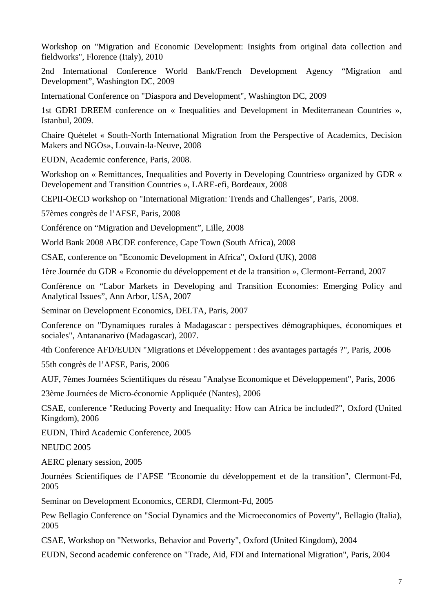Workshop on "Migration and Economic Development: Insights from original data collection and fieldworks", Florence (Italy), 2010

2nd International Conference World Bank/French Development Agency "Migration and Development", Washington DC, 2009

International Conference on "Diaspora and Development", Washington DC, 2009

1st GDRI DREEM conference on « Inequalities and Development in Mediterranean Countries », Istanbul, 2009.

Chaire Quételet « South-North International Migration from the Perspective of Academics, Decision Makers and NGOs», Louvain-la-Neuve, 2008

EUDN, Academic conference, Paris, 2008.

Workshop on « Remittances, Inequalities and Poverty in Developing Countries» organized by GDR « Developement and Transition Countries », LARE-efi, Bordeaux, 2008

CEPII-OECD workshop on "International Migration: Trends and Challenges", Paris, 2008.

57èmes congrès de l'AFSE, Paris, 2008

Conférence on "Migration and Development", Lille, 2008

World Bank 2008 ABCDE conference, Cape Town (South Africa), 2008

CSAE, conference on "Economic Development in Africa", Oxford (UK), 2008

1ère Journée du GDR « Economie du développement et de la transition », Clermont-Ferrand, 2007

Conférence on "Labor Markets in Developing and Transition Economies: Emerging Policy and Analytical Issues", Ann Arbor, USA, 2007

Seminar on Development Economics, DELTA, Paris, 2007

Conference on "Dynamiques rurales à Madagascar : perspectives démographiques, économiques et sociales", Antananarivo (Madagascar), 2007.

4th Conference AFD/EUDN "Migrations et Développement : des avantages partagés ?", Paris, 2006

55th congrès de l'AFSE, Paris, 2006

AUF, 7èmes Journées Scientifiques du réseau "Analyse Economique et Développement", Paris, 2006

23ème Journées de Micro-économie Appliquée (Nantes), 2006

CSAE, conference "Reducing Poverty and Inequality: How can Africa be included?", Oxford (United Kingdom), 2006

EUDN, Third Academic Conference, 2005

NEUDC 2005

AERC plenary session, 2005

Journées Scientifiques de l'AFSE "Economie du développement et de la transition", Clermont-Fd, 2005

Seminar on Development Economics, CERDI, Clermont-Fd, 2005

Pew Bellagio Conference on "Social Dynamics and the Microeconomics of Poverty", Bellagio (Italia), 2005

CSAE, Workshop on "Networks, Behavior and Poverty", Oxford (United Kingdom), 2004

EUDN, Second academic conference on "Trade, Aid, FDI and International Migration", Paris, 2004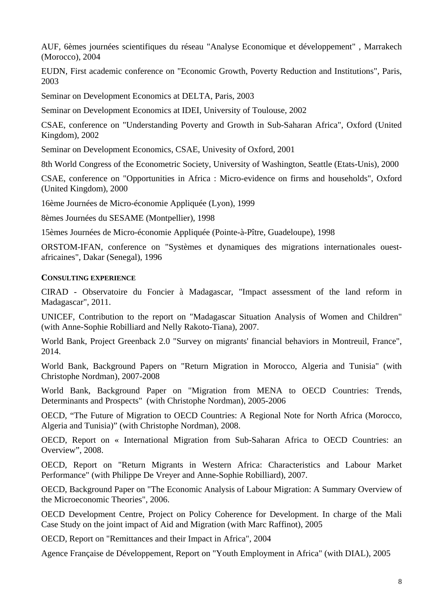AUF, 6èmes journées scientifiques du réseau "Analyse Economique et développement" , Marrakech (Morocco), 2004

EUDN, First academic conference on "Economic Growth, Poverty Reduction and Institutions", Paris, 2003

Seminar on Development Economics at DELTA, Paris, 2003

Seminar on Development Economics at IDEI, University of Toulouse, 2002

CSAE, conference on "Understanding Poverty and Growth in Sub-Saharan Africa", Oxford (United Kingdom), 2002

Seminar on Development Economics, CSAE, Univesity of Oxford, 2001

8th World Congress of the Econometric Society, University of Washington, Seattle (Etats-Unis), 2000

CSAE, conference on "Opportunities in Africa : Micro-evidence on firms and households", Oxford (United Kingdom), 2000

16ème Journées de Micro-économie Appliquée (Lyon), 1999

8èmes Journées du SESAME (Montpellier), 1998

15èmes Journées de Micro-économie Appliquée (Pointe-à-Pître, Guadeloupe), 1998

ORSTOM-IFAN, conference on "Systèmes et dynamiques des migrations internationales ouestafricaines", Dakar (Senegal), 1996

#### **CONSULTING EXPERIENCE**

CIRAD - Observatoire du Foncier à Madagascar, "Impact assessment of the land reform in Madagascar", 2011.

UNICEF, Contribution to the report on "Madagascar Situation Analysis of Women and Children" (with Anne-Sophie Robilliard and Nelly Rakoto-Tiana), 2007.

World Bank, Project Greenback 2.0 "Survey on migrants' financial behaviors in Montreuil, France", 2014.

World Bank, Background Papers on "Return Migration in Morocco, Algeria and Tunisia" (with Christophe Nordman), 2007-2008

World Bank, Background Paper on "Migration from MENA to OECD Countries: Trends, Determinants and Prospects" (with Christophe Nordman), 2005-2006

OECD, "The Future of Migration to OECD Countries: A Regional Note for North Africa (Morocco, Algeria and Tunisia)" (with Christophe Nordman), 2008.

OECD, Report on « International Migration from Sub-Saharan Africa to OECD Countries: an Overview", 2008.

OECD, Report on "Return Migrants in Western Africa: Characteristics and Labour Market Performance" (with Philippe De Vreyer and Anne-Sophie Robilliard), 2007.

OECD, Background Paper on "The Economic Analysis of Labour Migration: A Summary Overview of the Microeconomic Theories", 2006.

OECD Development Centre, Project on Policy Coherence for Development. In charge of the Mali Case Study on the joint impact of Aid and Migration (with Marc Raffinot), 2005

OECD, Report on "Remittances and their Impact in Africa", 2004

Agence Française de Développement, Report on "Youth Employment in Africa" (with DIAL), 2005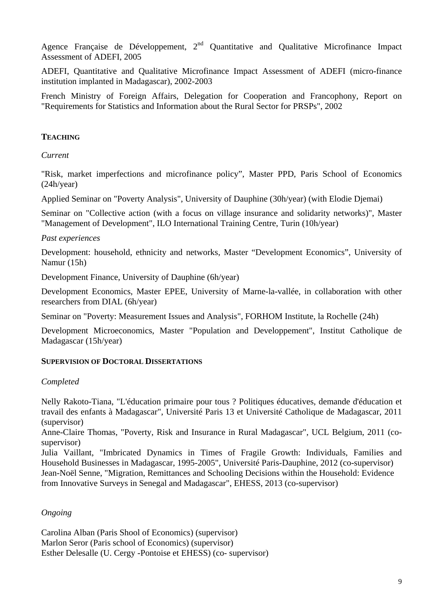Agence Française de Développement,  $2<sup>nd</sup>$  Quantitative and Qualitative Microfinance Impact Assessment of ADEFI, 2005

ADEFI, Quantitative and Qualitative Microfinance Impact Assessment of ADEFI (micro-finance institution implanted in Madagascar), 2002-2003

French Ministry of Foreign Affairs, Delegation for Cooperation and Francophony, Report on "Requirements for Statistics and Information about the Rural Sector for PRSPs", 2002

# **TEACHING**

#### *Current*

"Risk, market imperfections and microfinance policy", Master PPD, Paris School of Economics (24h/year)

Applied Seminar on "Poverty Analysis", University of Dauphine (30h/year) (with Elodie Djemai)

Seminar on "Collective action (with a focus on village insurance and solidarity networks)", Master "Management of Development", ILO International Training Centre, Turin (10h/year)

# *Past experiences*

Development: household, ethnicity and networks, Master "Development Economics", University of Namur (15h)

Development Finance, University of Dauphine (6h/year)

Development Economics, Master EPEE, University of Marne-la-vallée, in collaboration with other researchers from DIAL (6h/year)

Seminar on "Poverty: Measurement Issues and Analysis", FORHOM Institute, la Rochelle (24h)

Development Microeconomics, Master "Population and Developpement", Institut Catholique de Madagascar (15h/year)

# **SUPERVISION OF DOCTORAL DISSERTATIONS**

# *Completed*

Nelly Rakoto-Tiana, "L'éducation primaire pour tous ? Politiques éducatives, demande d'éducation et travail des enfants à Madagascar", Université Paris 13 et Université Catholique de Madagascar, 2011 (supervisor)

Anne-Claire Thomas, "Poverty, Risk and Insurance in Rural Madagascar", UCL Belgium, 2011 (cosupervisor)

Julia Vaillant, "Imbricated Dynamics in Times of Fragile Growth: Individuals, Families and Household Businesses in Madagascar, 1995-2005", Université Paris-Dauphine, 2012 (co-supervisor) Jean-Noël Senne, "Migration, Remittances and Schooling Decisions within the Household: Evidence from Innovative Surveys in Senegal and Madagascar", EHESS, 2013 (co-supervisor)

*Ongoing* 

Carolina Alban (Paris Shool of Economics) (supervisor) Marlon Seror (Paris school of Economics) (supervisor) Esther Delesalle (U. Cergy -Pontoise et EHESS) (co- supervisor)